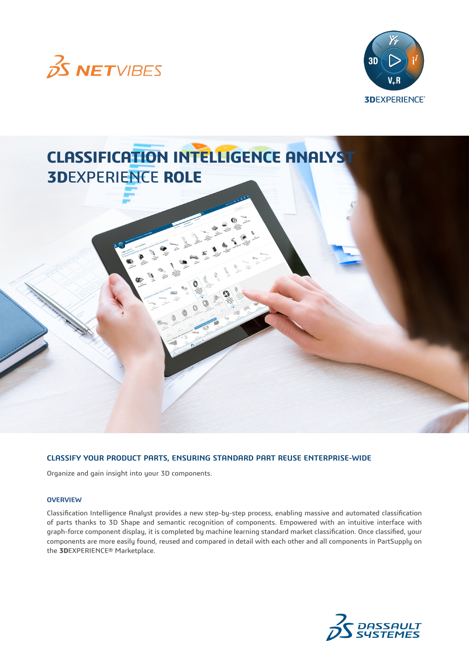



# **CLASSIFICATION INTELLIGENCE ANALYST 3D**EXPERIENCE **ROLE**

#### **CLASSIFY YOUR PRODUCT PARTS, ENSURING STANDARD PART REUSE ENTERPRISE-WIDE**

Organize and gain insight into your 3D components.

#### **OVERVIEW**

Classification Intelligence Analyst provides a new step-by-step process, enabling massive and automated classification of parts thanks to 3D Shape and semantic recognition of components. Empowered with an intuitive interface with graph-force component display, it is completed by machine learning standard market classification. Once classified, your components are more easily found, reused and compared in detail with each other and all components in PartSupply on the **3D**EXPERIENCE® Marketplace.